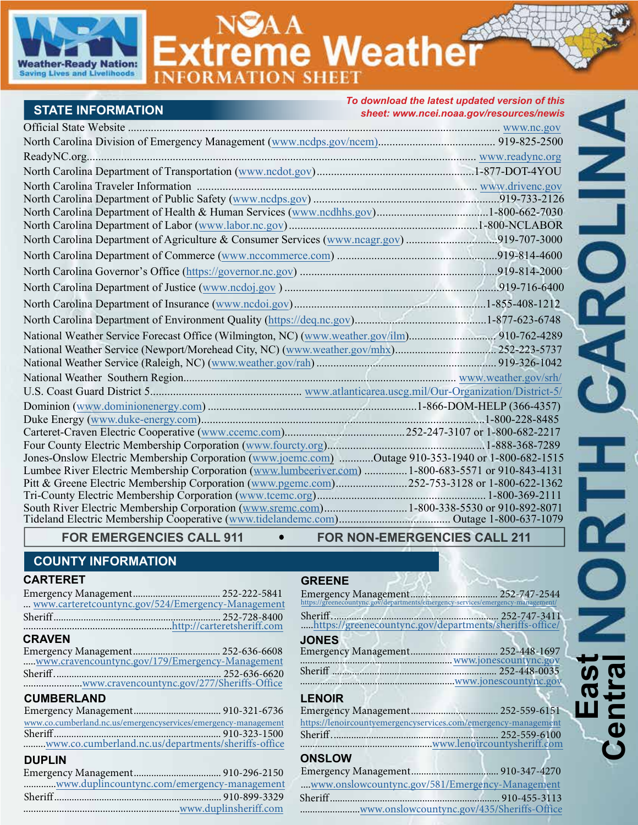

**treme Weathe INFOR** *To download the latest updated version of this* 

| <b>STATE INFORMATION</b>                                                                           | uuu inc laicot apaatca verolon of imo<br>sheet: www.ncei.noaa.gov/resources/newis |
|----------------------------------------------------------------------------------------------------|-----------------------------------------------------------------------------------|
|                                                                                                    |                                                                                   |
|                                                                                                    |                                                                                   |
|                                                                                                    |                                                                                   |
|                                                                                                    |                                                                                   |
|                                                                                                    |                                                                                   |
|                                                                                                    |                                                                                   |
|                                                                                                    |                                                                                   |
|                                                                                                    |                                                                                   |
|                                                                                                    |                                                                                   |
|                                                                                                    |                                                                                   |
|                                                                                                    |                                                                                   |
|                                                                                                    |                                                                                   |
|                                                                                                    |                                                                                   |
|                                                                                                    |                                                                                   |
|                                                                                                    |                                                                                   |
|                                                                                                    |                                                                                   |
|                                                                                                    |                                                                                   |
|                                                                                                    |                                                                                   |
|                                                                                                    |                                                                                   |
|                                                                                                    |                                                                                   |
|                                                                                                    |                                                                                   |
|                                                                                                    |                                                                                   |
|                                                                                                    |                                                                                   |
| Jones-Onslow Electric Membership Corporation (www.joemc.com) Outage 910-353-1940 or 1-800-682-1515 |                                                                                   |
| Lumbee River Electric Membership Corporation (www.lumbeeriver.com)  1-800-683-5571 or 910-843-4131 |                                                                                   |
| Pitt & Greene Electric Membership Corporation (www.pgemc.com)252-753-3128 or 1-800-622-1362        |                                                                                   |
|                                                                                                    |                                                                                   |
| South River Electric Membership Corporation (www.sremc.com) 1-800-338-5530 or 910-892-8071         |                                                                                   |

**GREENE**

# FOR EMERGENCIES CALL 911 FOR NON-EMERGENCIES CALL 211

# **COUNTY INFORMATION**

#### **CARTERET**

| www.carteretcountync.gov/524/Emergency-Management |              |
|---------------------------------------------------|--------------|
|                                                   |              |
|                                                   |              |
| <b>CRAVEN</b>                                     |              |
| Emergency Management                              | 252-636-6608 |

....[.www.cravencountync.gov/179/Emergency-Management](https://www.cravencountync.gov/179/Emergency-Management) Emergency Management ................................... [252-636-6608](http://www.cravencounty.com) Sheriff ................................................................... 252-636-6620 .......................[www.cravencountync.gov/277/Sheriffs-Office](https://www.cravencountync.gov/277/Sheriffs-Office/)

# **CUMBERLAND**

| www.co.cumberland.nc.us/emergencyservices/emergency-management |  |  |
|----------------------------------------------------------------|--|--|
|                                                                |  |  |
| www.co.cumberland.nc.us/departments/sheriffs-office            |  |  |
|                                                                |  |  |

# **DUPLIN**

| Sheriff.      | 252-747-3411          |
|---------------|-----------------------|
| <b>JONES</b>  | www.jonescountync.gov |
|               | www.jonescountync.gov |
| <b>LENOIR</b> |                       |

| https://lenoircountyemergencyservices.com/emergency-management |
|----------------------------------------------------------------|
|                                                                |
|                                                                |
|                                                                |
|                                                                |
| www.onslowcountync.gov/581/Emergency-Management                |
|                                                                |
|                                                                |

........................[www.onslowcountync.gov/435/Sheriffs-Office](http://www.onslowcountync.gov/435/Sheriffs-Office/)

ANLIO **HADRO East Central**